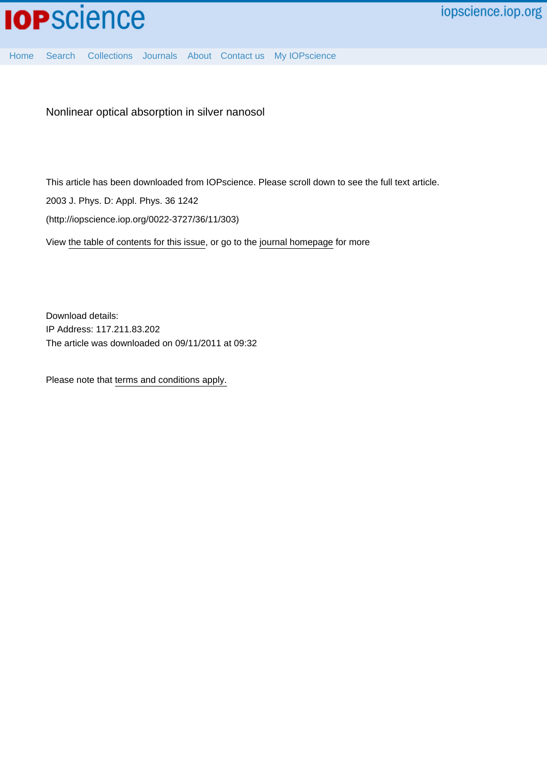

Nonlinear optical absorption in silver nanosol

This article has been downloaded from IOPscience. Please scroll down to see the full text article.

2003 J. Phys. D: Appl. Phys. 36 1242

(http://iopscience.iop.org/0022-3727/36/11/303)

View [the table of contents for this issue](http://iopscience.iop.org/0022-3727/36/11), or go to the [journal homepage](http://iopscience.iop.org/0022-3727) for more

Download details: IP Address: 117.211.83.202 The article was downloaded on 09/11/2011 at 09:32

Please note that [terms and conditions apply.](http://iopscience.iop.org/page/terms)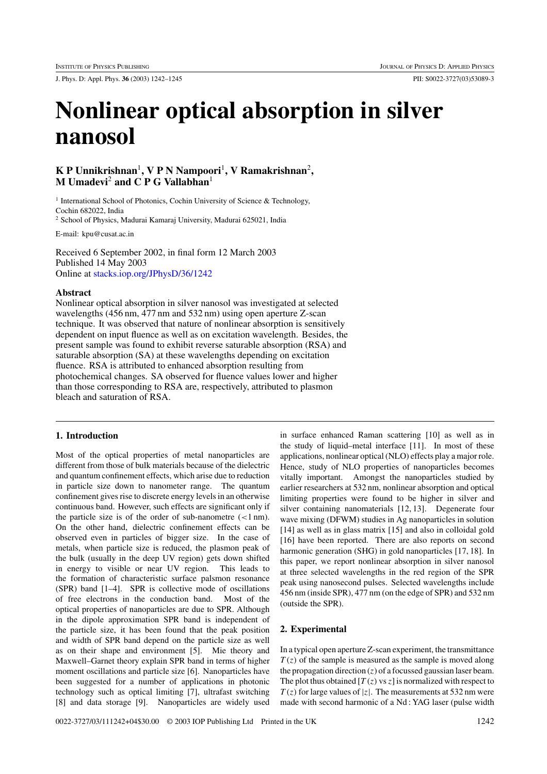J. Phys. D: Appl. Phys. **36** (2003) 1242–1245 PII: S0022-3727(03)53089-3

# **Nonlinear optical absorption in silver nanosol**

# **K P Unnikrishnan**<sup>1</sup>**,VPN Nampoori**<sup>1</sup>**, V Ramakrishnan**<sup>2</sup>**, M Umadevi**<sup>2</sup> **and C P G Vallabhan**<sup>1</sup>

<sup>1</sup> International School of Photonics, Cochin University of Science & Technology, Cochin 682022, India

<sup>2</sup> School of Physics, Madurai Kamaraj University, Madurai 625021, India

E-mail: kpu@cusat.ac.in

Received 6 September 2002, in final form 12 March 2003 Published 14 May 2003 Online at [stacks.iop.org/JPhysD/36/1242](http://stacks.iop.org/jd/36/1242)

#### **Abstract**

Nonlinear optical absorption in silver nanosol was investigated at selected wavelengths (456 nm, 477 nm and 532 nm) using open aperture Z-scan technique. It was observed that nature of nonlinear absorption is sensitively dependent on input fluence as well as on excitation wavelength. Besides, the present sample was found to exhibit reverse saturable absorption (RSA) and saturable absorption (SA) at these wavelengths depending on excitation fluence. RSA is attributed to enhanced absorption resulting from photochemical changes. SA observed for fluence values lower and higher than those corresponding to RSA are, respectively, attributed to plasmon bleach and saturation of RSA.

# **1. Introduction**

Most of the optical properties of metal nanoparticles are different from those of bulk materials because of the dielectric and quantum confinement effects, which arise due to reduction in particle size down to nanometer range. The quantum confinement gives rise to discrete energy levels in an otherwise continuous band. However, such effects are significant only if the particle size is of the order of sub-nanometre (*<*1 nm). On the other hand, dielectric confinement effects can be observed even in particles of bigger size. In the case of metals, when particle size is reduced, the plasmon peak of the bulk (usually in the deep UV region) gets down shifted in energy to visible or near UV region. This leads to the formation of characteristic surface palsmon resonance (SPR) band [1–4]. SPR is collective mode of oscillations of free electrons in the conduction band. Most of the optical properties of nanoparticles are due to SPR. Although in the dipole approximation SPR band is independent of the particle size, it has been found that the peak position and width of SPR band depend on the particle size as well as on their shape and environment [5]. Mie theory and Maxwell–Garnet theory explain SPR band in terms of higher moment oscillations and particle size [6]. Nanoparticles have been suggested for a number of applications in photonic technology such as optical limiting [7], ultrafast switching [8] and data storage [9]. Nanoparticles are widely used

in surface enhanced Raman scattering [10] as well as in the study of liquid–metal interface [11]. In most of these applications, nonlinear optical (NLO) effects play a major role. Hence, study of NLO properties of nanoparticles becomes vitally important. Amongst the nanoparticles studied by earlier researchers at 532 nm, nonlinear absorption and optical limiting properties were found to be higher in silver and silver containing nanomaterials [12, 13]. Degenerate four wave mixing (DFWM) studies in Ag nanoparticles in solution [14] as well as in glass matrix [15] and also in colloidal gold [16] have been reported. There are also reports on second harmonic generation (SHG) in gold nanoparticles [17, 18]. In this paper, we report nonlinear absorption in silver nanosol at three selected wavelengths in the red region of the SPR peak using nanosecond pulses. Selected wavelengths include 456 nm (inside SPR), 477 nm (on the edge of SPR) and 532 nm (outside the SPR).

## **2. Experimental**

In a typical open aperture Z-scan experiment, the transmittance *T (z)* of the sample is measured as the sample is moved along the propagation direction  $(z)$  of a focussed gaussian laser beam. The plot thus obtained  $[T(z)$  vs *z* is normalized with respect to  $T(z)$  for large values of |z|. The measurements at 532 nm were made with second harmonic of a Nd : YAG laser (pulse width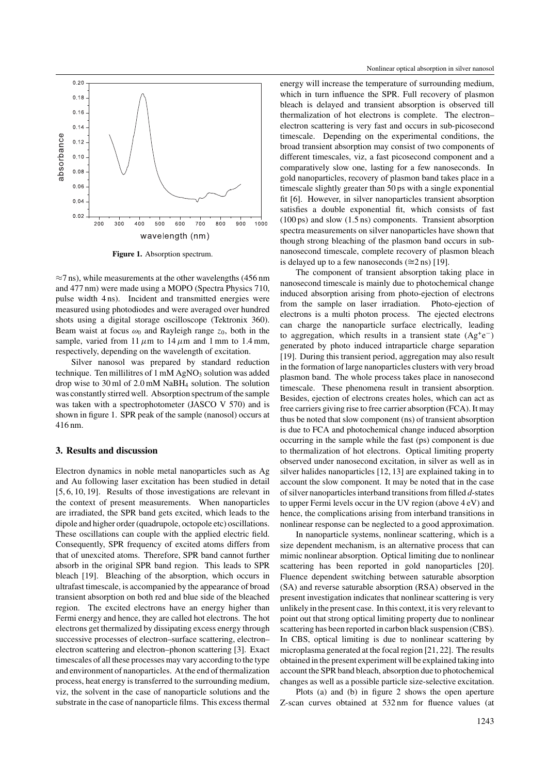

**Figure 1.** Absorption spectrum.

 $\approx$ 7 ns), while measurements at the other wavelengths (456 nm and 477 nm) were made using a MOPO (Spectra Physics 710, pulse width 4 ns). Incident and transmitted energies were measured using photodiodes and were averaged over hundred shots using a digital storage oscilloscope (Tektronix 360). Beam waist at focus  $\omega_0$  and Rayleigh range  $z_0$ , both in the sample, varied from 11  $\mu$ m to 14  $\mu$ m and 1 mm to 1.4 mm, respectively, depending on the wavelength of excitation.

Silver nanosol was prepared by standard reduction technique. Ten millilitres of  $1 \text{ mM }$  AgNO<sub>3</sub> solution was added drop wise to 30 ml of 2.0 mM NaBH4 solution. The solution was constantly stirred well. Absorption spectrum of the sample was taken with a spectrophotometer (JASCO V 570) and is shown in figure 1. SPR peak of the sample (nanosol) occurs at 416 nm.

### **3. Results and discussion**

Electron dynamics in noble metal nanoparticles such as Ag and Au following laser excitation has been studied in detail [5, 6, 10, 19]. Results of those investigations are relevant in the context of present measurements. When nanoparticles are irradiated, the SPR band gets excited, which leads to the dipole and higher order (quadrupole, octopole etc) oscillations. These oscillations can couple with the applied electric field. Consequently, SPR frequency of excited atoms differs from that of unexcited atoms. Therefore, SPR band cannot further absorb in the original SPR band region. This leads to SPR bleach [19]. Bleaching of the absorption, which occurs in ultrafast timescale, is accompanied by the appearance of broad transient absorption on both red and blue side of the bleached region. The excited electrons have an energy higher than Fermi energy and hence, they are called hot electrons. The hot electrons get thermalized by dissipating excess energy through successive processes of electron–surface scattering, electron– electron scattering and electron–phonon scattering [3]. Exact timescales of all these processes may vary according to the type and environment of nanoparticles. At the end of thermalization process, heat energy is transferred to the surrounding medium, viz, the solvent in the case of nanoparticle solutions and the substrate in the case of nanoparticle films. This excess thermal

energy will increase the temperature of surrounding medium, which in turn influence the SPR. Full recovery of plasmon bleach is delayed and transient absorption is observed till thermalization of hot electrons is complete. The electronelectron scattering is very fast and occurs in sub-picosecond timescale. Depending on the experimental conditions, the broad transient absorption may consist of two components of different timescales, viz, a fast picosecond component and a comparatively slow one, lasting for a few nanoseconds. In gold nanoparticles, recovery of plasmon band takes place in a timescale slightly greater than 50 ps with a single exponential fit [6]. However, in silver nanoparticles transient absorption satisfies a double exponential fit, which consists of fast (100 ps) and slow (1.5 ns) components. Transient absorption spectra measurements on silver nanoparticles have shown that though strong bleaching of the plasmon band occurs in subnanosecond timescale, complete recovery of plasmon bleach is delayed up to a few nanoseconds ( $\approx$ 2 ns) [19].

The component of transient absorption taking place in nanosecond timescale is mainly due to photochemical change induced absorption arising from photo-ejection of electrons from the sample on laser irradiation. Photo-ejection of electrons is a multi photon process. The ejected electrons can charge the nanoparticle surface electrically, leading to aggregation, which results in a transient state (Ag+e−*)* generated by photo induced intraparticle charge separation [19]. During this transient period, aggregation may also result in the formation of large nanoparticles clusters with very broad plasmon band. The whole process takes place in nanosecond timescale. These phenomena result in transient absorption. Besides, ejection of electrons creates holes, which can act as free carriers giving rise to free carrier absorption (FCA). It may thus be noted that slow component (ns) of transient absorption is due to FCA and photochemical change induced absorption occurring in the sample while the fast (ps) component is due to thermalization of hot electrons. Optical limiting property observed under nanosecond excitation, in silver as well as in silver halides nanoparticles [12, 13] are explained taking in to account the slow component. It may be noted that in the case of silver nanoparticles interband transitions from filled *d*-states to upper Fermi levels occur in the UV region (above 4 eV) and hence, the complications arising from interband transitions in nonlinear response can be neglected to a good approximation.

In nanoparticle systems, nonlinear scattering, which is a size dependent mechanism, is an alternative process that can mimic nonlinear absorption. Optical limiting due to nonlinear scattering has been reported in gold nanoparticles [20]. Fluence dependent switching between saturable absorption (SA) and reverse saturable absorption (RSA) observed in the present investigation indicates that nonlinear scattering is very unlikely in the present case. In this context, it is very relevant to point out that strong optical limiting property due to nonlinear scattering has been reported in carbon black suspension (CBS). In CBS, optical limiting is due to nonlinear scattering by microplasma generated at the focal region [21, 22]. The results obtained in the present experiment will be explained taking into account the SPR band bleach, absorption due to photochemical changes as well as a possible particle size-selective excitation.

Plots (a) and (b) in figure 2 shows the open aperture Z-scan curves obtained at 532 nm for fluence values (at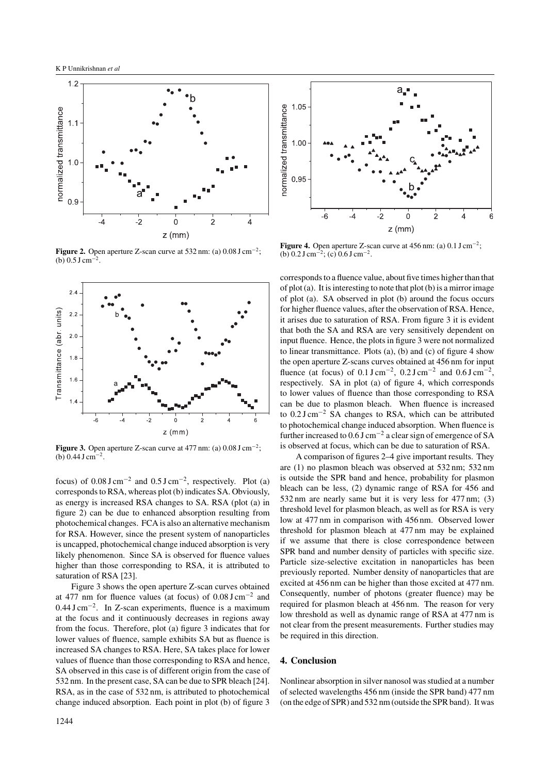

**Figure 2.** Open aperture Z-scan curve at  $532$  nm: (a)  $0.08$  J cm<sup>-2</sup>; (b)  $0.5 \text{ J cm}^{-2}$ .



**Figure 3.** Open aperture Z-scan curve at  $477$  nm: (a)  $0.08$  J cm<sup>-2</sup>; (b)  $0.44$  J cm<sup>-2</sup>

focus) of  $0.08 \text{ J cm}^{-2}$  and  $0.5 \text{ J cm}^{-2}$ , respectively. Plot (a) corresponds to RSA, whereas plot (b) indicates SA. Obviously, as energy is increased RSA changes to SA. RSA (plot (a) in figure 2) can be due to enhanced absorption resulting from photochemical changes. FCA is also an alternative mechanism for RSA. However, since the present system of nanoparticles is uncapped, photochemical change induced absorption is very likely phenomenon. Since SA is observed for fluence values higher than those corresponding to RSA, it is attributed to saturation of RSA [23].

Figure 3 shows the open aperture Z-scan curves obtained at 477 nm for fluence values (at focus) of 0.08 J cm−<sup>2</sup> and 0.44 J cm−2. In Z-scan experiments, fluence is a maximum at the focus and it continuously decreases in regions away from the focus. Therefore, plot (a) figure 3 indicates that for lower values of fluence, sample exhibits SA but as fluence is increased SA changes to RSA. Here, SA takes place for lower values of fluence than those corresponding to RSA and hence, SA observed in this case is of different origin from the case of 532 nm. In the present case, SA can be due to SPR bleach [24]. RSA, as in the case of 532 nm, is attributed to photochemical change induced absorption. Each point in plot (b) of figure 3



**Figure 4.** Open aperture Z-scan curve at  $456$  nm: (a)  $0.1$  J cm<sup>-2</sup>; (b)  $0.2 \text{ J cm}^{-2}$ ; (c)  $0.6 \text{ J cm}^{-2}$ .

corresponds to a fluence value, about five times higher than that of plot (a). It is interesting to note that plot  $(b)$  is a mirror image of plot (a). SA observed in plot (b) around the focus occurs for higher fluence values, after the observation of RSA. Hence, it arises due to saturation of RSA. From figure 3 it is evident that both the SA and RSA are very sensitively dependent on input fluence. Hence, the plots in figure 3 were not normalized to linear transmittance. Plots (a), (b) and (c) of figure 4 show the open aperture Z-scans curves obtained at 456 nm for input fluence (at focus) of  $0.1 \text{ J cm}^{-2}$ ,  $0.2 \text{ J cm}^{-2}$  and  $0.6 \text{ J cm}^{-2}$ , respectively. SA in plot (a) of figure 4, which corresponds to lower values of fluence than those corresponding to RSA can be due to plasmon bleach. When fluence is increased to 0.2 J cm−<sup>2</sup> SA changes to RSA, which can be attributed to photochemical change induced absorption. When fluence is further increased to  $0.6$  J cm<sup>-2</sup> a clear sign of emergence of SA is observed at focus, which can be due to saturation of RSA.

A comparison of figures 2–4 give important results. They are (1) no plasmon bleach was observed at 532 nm; 532 nm is outside the SPR band and hence, probability for plasmon bleach can be less, (2) dynamic range of RSA for 456 and 532 nm are nearly same but it is very less for 477 nm; (3) threshold level for plasmon bleach, as well as for RSA is very low at 477 nm in comparison with 456 nm. Observed lower threshold for plasmon bleach at 477 nm may be explained if we assume that there is close correspondence between SPR band and number density of particles with specific size. Particle size-selective excitation in nanoparticles has been previously reported. Number density of nanoparticles that are excited at 456 nm can be higher than those excited at 477 nm. Consequently, number of photons (greater fluence) may be required for plasmon bleach at 456 nm. The reason for very low threshold as well as dynamic range of RSA at 477 nm is not clear from the present measurements. Further studies may be required in this direction.

# **4. Conclusion**

Nonlinear absorption in silver nanosol was studied at a number of selected wavelengths 456 nm (inside the SPR band) 477 nm (on the edge of SPR) and 532 nm (outside the SPR band). It was